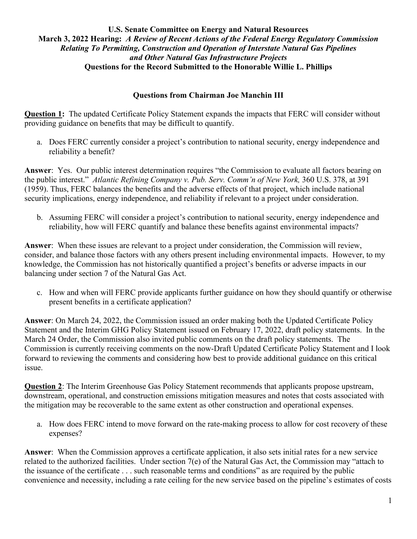#### **Questions from Chairman Joe Manchin III**

**Question 1:** The updated Certificate Policy Statement expands the impacts that FERC will consider without providing guidance on benefits that may be difficult to quantify.

a. Does FERC currently consider a project's contribution to national security, energy independence and reliability a benefit?

**Answer**: Yes. Our public interest determination requires "the Commission to evaluate all factors bearing on the public interest." *Atlantic Refining Company v. Pub. Serv. Comm'n of New York,* 360 U.S. 378, at 391 (1959). Thus, FERC balances the benefits and the adverse effects of that project, which include national security implications, energy independence, and reliability if relevant to a project under consideration.

b. Assuming FERC will consider a project's contribution to national security, energy independence and reliability, how will FERC quantify and balance these benefits against environmental impacts?

**Answer**: When these issues are relevant to a project under consideration, the Commission will review, consider, and balance those factors with any others present including environmental impacts. However, to my knowledge, the Commission has not historically quantified a project's benefits or adverse impacts in our balancing under section 7 of the Natural Gas Act.

c. How and when will FERC provide applicants further guidance on how they should quantify or otherwise present benefits in a certificate application?

**Answer**: On March 24, 2022, the Commission issued an order making both the Updated Certificate Policy Statement and the Interim GHG Policy Statement issued on February 17, 2022, draft policy statements. In the March 24 Order, the Commission also invited public comments on the draft policy statements. The Commission is currently receiving comments on the now-Draft Updated Certificate Policy Statement and I look forward to reviewing the comments and considering how best to provide additional guidance on this critical issue.

**Question 2**: The Interim Greenhouse Gas Policy Statement recommends that applicants propose upstream, downstream, operational, and construction emissions mitigation measures and notes that costs associated with the mitigation may be recoverable to the same extent as other construction and operational expenses.

a. How does FERC intend to move forward on the rate-making process to allow for cost recovery of these expenses?

**Answer**: When the Commission approves a certificate application, it also sets initial rates for a new service related to the authorized facilities. Under section 7(e) of the Natural Gas Act, the Commission may "attach to the issuance of the certificate . . . such reasonable terms and conditions" as are required by the public convenience and necessity, including a rate ceiling for the new service based on the pipeline's estimates of costs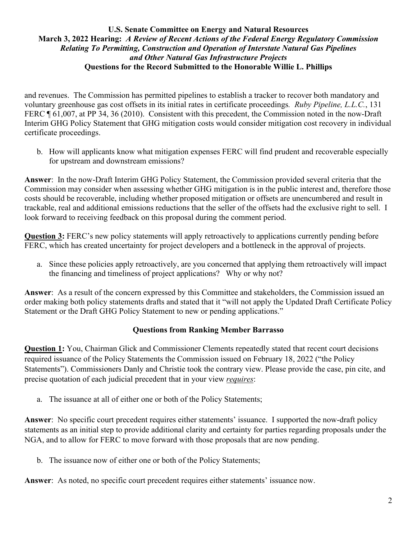and revenues. The Commission has permitted pipelines to establish a tracker to recover both mandatory and voluntary greenhouse gas cost offsets in its initial rates in certificate proceedings*. Ruby Pipeline, L.L.C.*, 131 FERC ¶ 61,007, at PP 34, 36 (2010). Consistent with this precedent, the Commission noted in the now-Draft Interim GHG Policy Statement that GHG mitigation costs would consider mitigation cost recovery in individual certificate proceedings.

b. How will applicants know what mitigation expenses FERC will find prudent and recoverable especially for upstream and downstream emissions?

**Answer**: In the now-Draft Interim GHG Policy Statement, the Commission provided several criteria that the Commission may consider when assessing whether GHG mitigation is in the public interest and, therefore those costs should be recoverable, including whether proposed mitigation or offsets are unencumbered and result in trackable, real and additional emissions reductions that the seller of the offsets had the exclusive right to sell. I look forward to receiving feedback on this proposal during the comment period.

**Question 3:** FERC's new policy statements will apply retroactively to applications currently pending before FERC, which has created uncertainty for project developers and a bottleneck in the approval of projects.

a. Since these policies apply retroactively, are you concerned that applying them retroactively will impact the financing and timeliness of project applications? Why or why not?

**Answer**: As a result of the concern expressed by this Committee and stakeholders, the Commission issued an order making both policy statements drafts and stated that it "will not apply the Updated Draft Certificate Policy Statement or the Draft GHG Policy Statement to new or pending applications."

# **Questions from Ranking Member Barrasso**

**Question 1:** You, Chairman Glick and Commissioner Clements repeatedly stated that recent court decisions required issuance of the Policy Statements the Commission issued on February 18, 2022 ("the Policy Statements"). Commissioners Danly and Christie took the contrary view. Please provide the case, pin cite, and precise quotation of each judicial precedent that in your view *requires*:

a. The issuance at all of either one or both of the Policy Statements;

**Answer**: No specific court precedent requires either statements' issuance. I supported the now-draft policy statements as an initial step to provide additional clarity and certainty for parties regarding proposals under the NGA, and to allow for FERC to move forward with those proposals that are now pending.

b. The issuance now of either one or both of the Policy Statements;

**Answer**: As noted, no specific court precedent requires either statements' issuance now.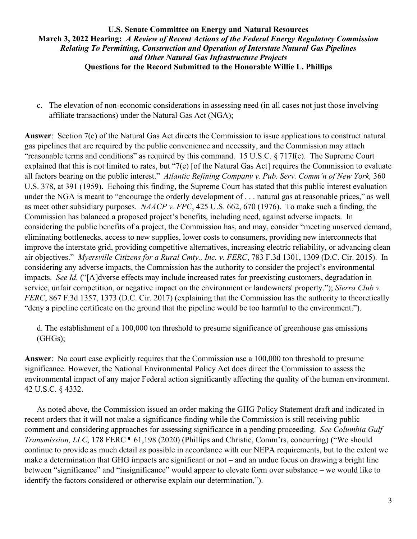c. The elevation of non-economic considerations in assessing need (in all cases not just those involving affiliate transactions) under the Natural Gas Act (NGA);

**Answer**: Section 7(e) of the Natural Gas Act directs the Commission to issue applications to construct natural gas pipelines that are required by the public convenience and necessity, and the Commission may attach "reasonable terms and conditions" as required by this command. 15 U.S.C. § 717f(e). The Supreme Court explained that this is not limited to rates, but "7(e) [of the Natural Gas Act] requires the Commission to evaluate all factors bearing on the public interest." *Atlantic Refining Company v. Pub. Serv. Comm'n of New York,* 360 U.S. 378, at 391 (1959). Echoing this finding, the Supreme Court has stated that this public interest evaluation under the NGA is meant to "encourage the orderly development of . . . natural gas at reasonable prices," as well as meet other subsidiary purposes. *NAACP v. FPC*, 425 U.S. 662, 670 (1976). To make such a finding, the Commission has balanced a proposed project's benefits, including need, against adverse impacts. In considering the public benefits of a project, the Commission has, and may, consider "meeting unserved demand, eliminating bottlenecks, access to new supplies, lower costs to consumers, providing new interconnects that improve the interstate grid, providing competitive alternatives, increasing electric reliability, or advancing clean air objectives." *Myersville Citizens for a Rural Cmty., Inc. v. FERC*, 783 F.3d 1301, 1309 (D.C. Cir. 2015). In considering any adverse impacts, the Commission has the authority to consider the project's environmental impacts. *See Id.* ("[A]dverse effects may include increased rates for preexisting customers, degradation in service, unfair competition, or negative impact on the environment or landowners' property."); *Sierra Club v. FERC*, 867 F.3d 1357, 1373 (D.C. Cir. 2017) (explaining that the Commission has the authority to theoretically "deny a pipeline certificate on the ground that the pipeline would be too harmful to the environment.").

d. The establishment of a 100,000 ton threshold to presume significance of greenhouse gas emissions (GHGs);

**Answer**: No court case explicitly requires that the Commission use a 100,000 ton threshold to presume significance. However, the National Environmental Policy Act does direct the Commission to assess the environmental impact of any major Federal action significantly affecting the quality of the human environment. 42 U.S.C. § 4332.

As noted above, the Commission issued an order making the GHG Policy Statement draft and indicated in recent orders that it will not make a significance finding while the Commission is still receiving public comment and considering approaches for assessing significance in a pending proceeding. *See Columbia Gulf Transmission, LLC*, 178 FERC ¶ 61,198 (2020) (Phillips and Christie, Comm'rs, concurring) ("We should continue to provide as much detail as possible in accordance with our NEPA requirements, but to the extent we make a determination that GHG impacts are significant or not – and an undue focus on drawing a bright line between "significance" and "insignificance" would appear to elevate form over substance – we would like to identify the factors considered or otherwise explain our determination.").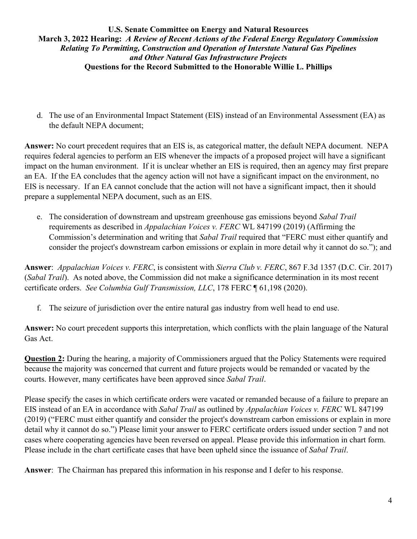d. The use of an Environmental Impact Statement (EIS) instead of an Environmental Assessment (EA) as the default NEPA document;

**Answer:** No court precedent requires that an EIS is, as categorical matter, the default NEPA document. NEPA requires federal agencies to perform an EIS whenever the impacts of a proposed project will have a significant impact on the human environment. If it is unclear whether an EIS is required, then an agency may first prepare an EA. If the EA concludes that the agency action will not have a significant impact on the environment, no EIS is necessary. If an EA cannot conclude that the action will not have a significant impact, then it should prepare a supplemental NEPA document, such as an EIS.

e. The consideration of downstream and upstream greenhouse gas emissions beyond *Sabal Trail* requirements as described in *Appalachian Voices v. FERC* WL 847199 (2019) (Affirming the Commission's determination and writing that *Sabal Trail* required that "FERC must either quantify and consider the project's downstream carbon emissions or explain in more detail why it cannot do so."); and

**Answer**: *Appalachian Voices v. FERC*, is consistent with *Sierra Club v. FERC*, 867 F.3d 1357 (D.C. Cir. 2017) (*Sabal Trail*). As noted above, the Commission did not make a significance determination in its most recent certificate orders. *See Columbia Gulf Transmission, LLC*, 178 FERC ¶ 61,198 (2020).

f. The seizure of jurisdiction over the entire natural gas industry from well head to end use.

**Answer:** No court precedent supports this interpretation, which conflicts with the plain language of the Natural Gas Act.

**Question 2:** During the hearing, a majority of Commissioners argued that the Policy Statements were required because the majority was concerned that current and future projects would be remanded or vacated by the courts. However, many certificates have been approved since *Sabal Trail*.

Please specify the cases in which certificate orders were vacated or remanded because of a failure to prepare an EIS instead of an EA in accordance with *Sabal Trail* as outlined by *Appalachian Voices v. FERC* WL 847199 (2019) ("FERC must either quantify and consider the project's downstream carbon emissions or explain in more detail why it cannot do so.") Please limit your answer to FERC certificate orders issued under section 7 and not cases where cooperating agencies have been reversed on appeal. Please provide this information in chart form. Please include in the chart certificate cases that have been upheld since the issuance of *Sabal Trail*.

**Answer**: The Chairman has prepared this information in his response and I defer to his response.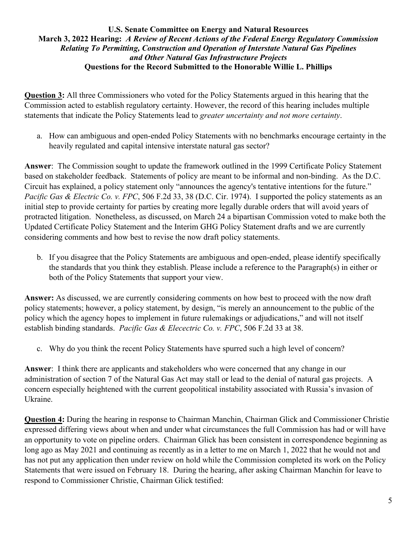**Question 3:** All three Commissioners who voted for the Policy Statements argued in this hearing that the Commission acted to establish regulatory certainty. However, the record of this hearing includes multiple statements that indicate the Policy Statements lead to *greater uncertainty and not more certainty*.

a. How can ambiguous and open-ended Policy Statements with no benchmarks encourage certainty in the heavily regulated and capital intensive interstate natural gas sector?

**Answer**: The Commission sought to update the framework outlined in the 1999 Certificate Policy Statement based on stakeholder feedback. Statements of policy are meant to be informal and non-binding. As the D.C. Circuit has explained, a policy statement only "announces the agency's tentative intentions for the future." *Pacific Gas & Electric Co. v. FPC*, 506 F.2d 33, 38 (D.C. Cir. 1974). I supported the policy statements as an initial step to provide certainty for parties by creating more legally durable orders that will avoid years of protracted litigation. Nonetheless, as discussed, on March 24 a bipartisan Commission voted to make both the Updated Certificate Policy Statement and the Interim GHG Policy Statement drafts and we are currently considering comments and how best to revise the now draft policy statements.

b. If you disagree that the Policy Statements are ambiguous and open-ended, please identify specifically the standards that you think they establish. Please include a reference to the Paragraph(s) in either or both of the Policy Statements that support your view.

**Answer:** As discussed, we are currently considering comments on how best to proceed with the now draft policy statements; however, a policy statement, by design, "is merely an announcement to the public of the policy which the agency hopes to implement in future rulemakings or adjudications," and will not itself establish binding standards. *Pacific Gas & Elecectric Co. v. FPC*, 506 F.2d 33 at 38.

c. Why do you think the recent Policy Statements have spurred such a high level of concern?

**Answer**: I think there are applicants and stakeholders who were concerned that any change in our administration of section 7 of the Natural Gas Act may stall or lead to the denial of natural gas projects. A concern especially heightened with the current geopolitical instability associated with Russia's invasion of Ukraine.

**Question 4:** During the hearing in response to Chairman Manchin, Chairman Glick and Commissioner Christie expressed differing views about when and under what circumstances the full Commission has had or will have an opportunity to vote on pipeline orders. Chairman Glick has been consistent in correspondence beginning as long ago as May 2021 and continuing as recently as in a letter to me on March 1, 2022 that he would not and has not put any application then under review on hold while the Commission completed its work on the Policy Statements that were issued on February 18. During the hearing, after asking Chairman Manchin for leave to respond to Commissioner Christie, Chairman Glick testified: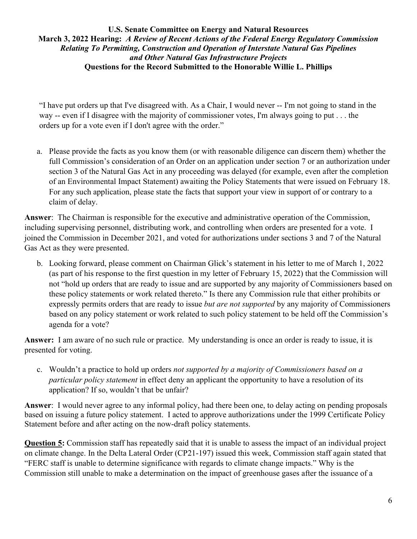"I have put orders up that I've disagreed with. As a Chair, I would never -- I'm not going to stand in the way -- even if I disagree with the majority of commissioner votes, I'm always going to put . . . the orders up for a vote even if I don't agree with the order."

a. Please provide the facts as you know them (or with reasonable diligence can discern them) whether the full Commission's consideration of an Order on an application under section 7 or an authorization under section 3 of the Natural Gas Act in any proceeding was delayed (for example, even after the completion of an Environmental Impact Statement) awaiting the Policy Statements that were issued on February 18. For any such application, please state the facts that support your view in support of or contrary to a claim of delay.

**Answer**: The Chairman is responsible for the executive and administrative operation of the Commission, including supervising personnel, distributing work, and controlling when orders are presented for a vote. I joined the Commission in December 2021, and voted for authorizations under sections 3 and 7 of the Natural Gas Act as they were presented.

b. Looking forward, please comment on Chairman Glick's statement in his letter to me of March 1, 2022 (as part of his response to the first question in my letter of February 15, 2022) that the Commission will not "hold up orders that are ready to issue and are supported by any majority of Commissioners based on these policy statements or work related thereto." Is there any Commission rule that either prohibits or expressly permits orders that are ready to issue *but are not supported* by any majority of Commissioners based on any policy statement or work related to such policy statement to be held off the Commission's agenda for a vote?

**Answer:** I am aware of no such rule or practice. My understanding is once an order is ready to issue, it is presented for voting.

c. Wouldn't a practice to hold up orders *not supported by a majority of Commissioners based on a particular policy statement* in effect deny an applicant the opportunity to have a resolution of its application? If so, wouldn't that be unfair?

**Answer**: I would never agree to any informal policy, had there been one, to delay acting on pending proposals based on issuing a future policy statement. I acted to approve authorizations under the 1999 Certificate Policy Statement before and after acting on the now-draft policy statements.

**Question 5:** Commission staff has repeatedly said that it is unable to assess the impact of an individual project on climate change. In the Delta Lateral Order (CP21-197) issued this week, Commission staff again stated that "FERC staff is unable to determine significance with regards to climate change impacts." Why is the Commission still unable to make a determination on the impact of greenhouse gases after the issuance of a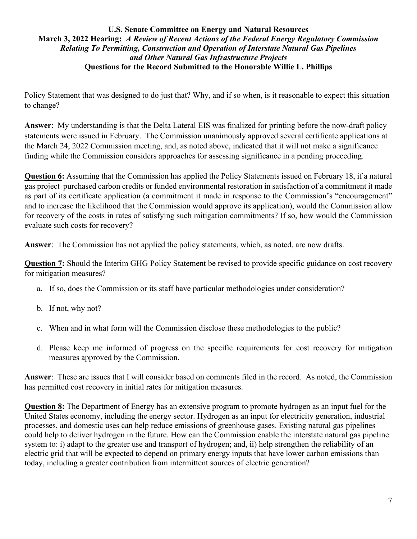Policy Statement that was designed to do just that? Why, and if so when, is it reasonable to expect this situation to change?

**Answer**: My understanding is that the Delta Lateral EIS was finalized for printing before the now-draft policy statements were issued in February. The Commission unanimously approved several certificate applications at the March 24, 2022 Commission meeting, and, as noted above, indicated that it will not make a significance finding while the Commission considers approaches for assessing significance in a pending proceeding.

**Question 6:** Assuming that the Commission has applied the Policy Statements issued on February 18, if a natural gas project purchased carbon credits or funded environmental restoration in satisfaction of a commitment it made as part of its certificate application (a commitment it made in response to the Commission's "encouragement" and to increase the likelihood that the Commission would approve its application), would the Commission allow for recovery of the costs in rates of satisfying such mitigation commitments? If so, how would the Commission evaluate such costs for recovery?

**Answer**: The Commission has not applied the policy statements, which, as noted, are now drafts.

**Question 7:** Should the Interim GHG Policy Statement be revised to provide specific guidance on cost recovery for mitigation measures?

- a. If so, does the Commission or its staff have particular methodologies under consideration?
- b. If not, why not?
- c. When and in what form will the Commission disclose these methodologies to the public?
- d. Please keep me informed of progress on the specific requirements for cost recovery for mitigation measures approved by the Commission.

**Answer**: These are issues that I will consider based on comments filed in the record. As noted, the Commission has permitted cost recovery in initial rates for mitigation measures.

**Question 8:** The Department of Energy has an extensive program to promote hydrogen as an input fuel for the United States economy, including the energy sector. Hydrogen as an input for electricity generation, industrial processes, and domestic uses can help reduce emissions of greenhouse gases. Existing natural gas pipelines could help to deliver hydrogen in the future. How can the Commission enable the interstate natural gas pipeline system to: i) adapt to the greater use and transport of hydrogen; and, ii) help strengthen the reliability of an electric grid that will be expected to depend on primary energy inputs that have lower carbon emissions than today, including a greater contribution from intermittent sources of electric generation?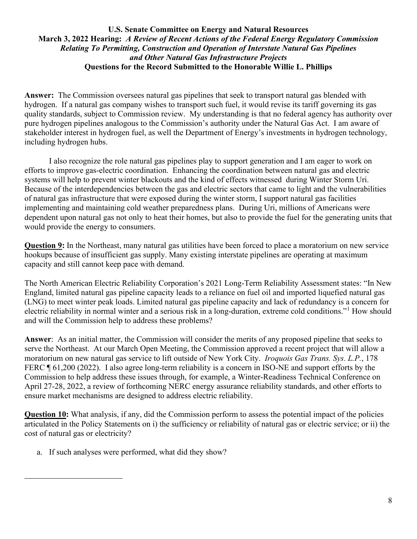**Answer:** The Commission oversees natural gas pipelines that seek to transport natural gas blended with hydrogen. If a natural gas company wishes to transport such fuel, it would revise its tariff governing its gas quality standards, subject to Commission review. My understanding is that no federal agency has authority over pure hydrogen pipelines analogous to the Commission's authority under the Natural Gas Act. I am aware of stakeholder interest in hydrogen fuel, as well the Department of Energy's investments in hydrogen technology, including hydrogen hubs.

I also recognize the role natural gas pipelines play to support generation and I am eager to work on efforts to improve gas-electric coordination. Enhancing the coordination between natural gas and electric systems will help to prevent winter blackouts and the kind of effects witnessed during Winter Storm Uri. Because of the interdependencies between the gas and electric sectors that came to light and the vulnerabilities of natural gas infrastructure that were exposed during the winter storm, I support natural gas facilities implementing and maintaining cold weather preparedness plans. During Uri, millions of Americans were dependent upon natural gas not only to heat their homes, but also to provide the fuel for the generating units that would provide the energy to consumers.

**Question 9:** In the Northeast, many natural gas utilities have been forced to place a moratorium on new service hookups because of insufficient gas supply. Many existing interstate pipelines are operating at maximum capacity and still cannot keep pace with demand.

The North American Electric Reliability Corporation's 2021 Long-Term Reliability Assessment states: "In New England, limited natural gas pipeline capacity leads to a reliance on fuel oil and imported liquefied natural gas (LNG) to meet winter peak loads. Limited natural gas pipeline capacity and lack of redundancy is a concern for electric reliability in normal winter and a serious risk in a long-duration, extreme cold conditions."[1](#page-7-0) How should and will the Commission help to address these problems?

**Answer**: As an initial matter, the Commission will consider the merits of any proposed pipeline that seeks to serve the Northeast. At our March Open Meeting, the Commission approved a recent project that will allow a moratorium on new natural gas service to lift outside of New York City. *Iroquois Gas Trans. Sys. L.P.*, 178 FERC ¶ 61,200 (2022). I also agree long-term reliability is a concern in ISO-NE and support efforts by the Commission to help address these issues through, for example, a Winter-Readiness Technical Conference on April 27-28, 2022, a review of forthcoming NERC energy assurance reliability standards, and other efforts to ensure market mechanisms are designed to address electric reliability.

**Question 10:** What analysis, if any, did the Commission perform to assess the potential impact of the policies articulated in the Policy Statements on i) the sufficiency or reliability of natural gas or electric service; or ii) the cost of natural gas or electricity?

<span id="page-7-0"></span>a. If such analyses were performed, what did they show?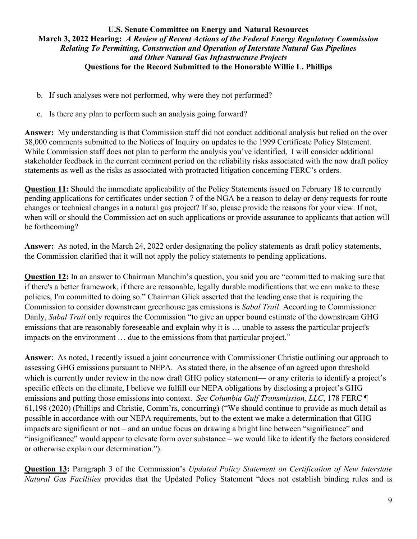- b. If such analyses were not performed, why were they not performed?
- c. Is there any plan to perform such an analysis going forward?

**Answer:** My understanding is that Commission staff did not conduct additional analysis but relied on the over 38,000 comments submitted to the Notices of Inquiry on updates to the 1999 Certificate Policy Statement. While Commission staff does not plan to perform the analysis you've identified, I will consider additional stakeholder feedback in the current comment period on the reliability risks associated with the now draft policy statements as well as the risks as associated with protracted litigation concerning FERC's orders.

**Question 11:** Should the immediate applicability of the Policy Statements issued on February 18 to currently pending applications for certificates under section 7 of the NGA be a reason to delay or deny requests for route changes or technical changes in a natural gas project? If so, please provide the reasons for your view. If not, when will or should the Commission act on such applications or provide assurance to applicants that action will be forthcoming?

**Answer:** As noted, in the March 24, 2022 order designating the policy statements as draft policy statements, the Commission clarified that it will not apply the policy statements to pending applications.

**Question 12:** In an answer to Chairman Manchin's question, you said you are "committed to making sure that if there's a better framework, if there are reasonable, legally durable modifications that we can make to these policies, I'm committed to doing so." Chairman Glick asserted that the leading case that is requiring the Commission to consider downstream greenhouse gas emissions is *Sabal Trail*. According to Commissioner Danly, *Sabal Trail* only requires the Commission "to give an upper bound estimate of the downstream GHG emissions that are reasonably foreseeable and explain why it is … unable to assess the particular project's impacts on the environment … due to the emissions from that particular project."

**Answer**: As noted, I recently issued a joint concurrence with Commissioner Christie outlining our approach to assessing GHG emissions pursuant to NEPA. As stated there, in the absence of an agreed upon threshold which is currently under review in the now draft GHG policy statement— or any criteria to identify a project's specific effects on the climate, I believe we fulfill our NEPA obligations by disclosing a project's GHG emissions and putting those emissions into context. *See Columbia Gulf Transmission, LLC*, 178 FERC ¶ 61,198 (2020) (Phillips and Christie, Comm'rs, concurring) ("We should continue to provide as much detail as possible in accordance with our NEPA requirements, but to the extent we make a determination that GHG impacts are significant or not – and an undue focus on drawing a bright line between "significance" and "insignificance" would appear to elevate form over substance – we would like to identify the factors considered or otherwise explain our determination.").

**Question 13:** Paragraph 3 of the Commission's *Updated Policy Statement on Certification of New Interstate Natural Gas Facilities* provides that the Updated Policy Statement "does not establish binding rules and is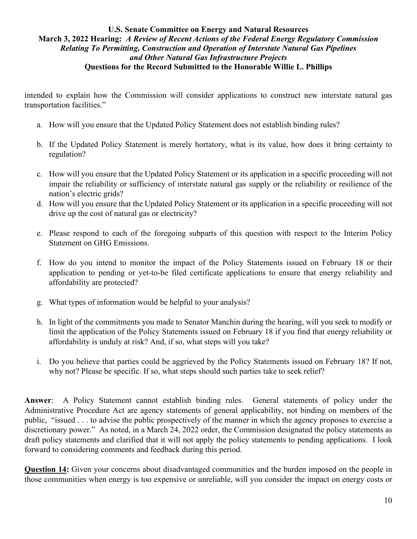intended to explain how the Commission will consider applications to construct new interstate natural gas transportation facilities."

- a. How will you ensure that the Updated Policy Statement does not establish binding rules?
- b. If the Updated Policy Statement is merely hortatory, what is its value, how does it bring certainty to regulation?
- c. How will you ensure that the Updated Policy Statement or its application in a specific proceeding will not impair the reliability or sufficiency of interstate natural gas supply or the reliability or resilience of the nation's electric grids?
- d. How will you ensure that the Updated Policy Statement or its application in a specific proceeding will not drive up the cost of natural gas or electricity?
- e. Please respond to each of the foregoing subparts of this question with respect to the Interim Policy Statement on GHG Emissions.
- f. How do you intend to monitor the impact of the Policy Statements issued on February 18 or their application to pending or yet-to-be filed certificate applications to ensure that energy reliability and affordability are protected?
- g. What types of information would be helpful to your analysis?
- h. In light of the commitments you made to Senator Manchin during the hearing, will you seek to modify or limit the application of the Policy Statements issued on February 18 if you find that energy reliability or affordability is unduly at risk? And, if so, what steps will you take?
- i. Do you believe that parties could be aggrieved by the Policy Statements issued on February 18? If not, why not? Please be specific. If so, what steps should such parties take to seek relief?

**Answer**: A Policy Statement cannot establish binding rules. General statements of policy under the Administrative Procedure Act are agency statements of general applicability, not binding on members of the public, "issued . . . to advise the public prospectively of the manner in which the agency proposes to exercise a discretionary power." As noted, in a March 24, 2022 order, the Commission designated the policy statements as draft policy statements and clarified that it will not apply the policy statements to pending applications. I look forward to considering comments and feedback during this period.

**Question 14:** Given your concerns about disadvantaged communities and the burden imposed on the people in those communities when energy is too expensive or unreliable, will you consider the impact on energy costs or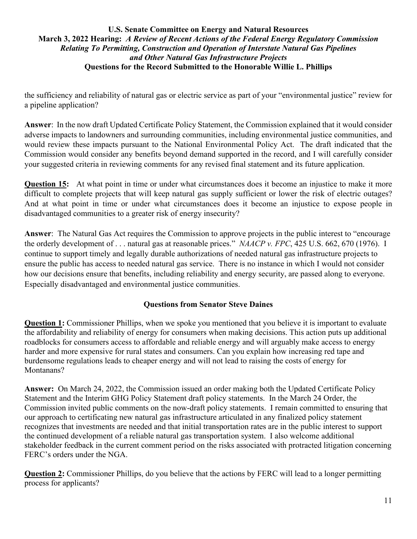the sufficiency and reliability of natural gas or electric service as part of your "environmental justice" review for a pipeline application?

**Answer**: In the now draft Updated Certificate Policy Statement, the Commission explained that it would consider adverse impacts to landowners and surrounding communities, including environmental justice communities, and would review these impacts pursuant to the National Environmental Policy Act. The draft indicated that the Commission would consider any benefits beyond demand supported in the record, and I will carefully consider your suggested criteria in reviewing comments for any revised final statement and its future application.

**Question 15:** At what point in time or under what circumstances does it become an injustice to make it more difficult to complete projects that will keep natural gas supply sufficient or lower the risk of electric outages? And at what point in time or under what circumstances does it become an injustice to expose people in disadvantaged communities to a greater risk of energy insecurity?

**Answer**: The Natural Gas Act requires the Commission to approve projects in the public interest to "encourage the orderly development of . . . natural gas at reasonable prices." *NAACP v. FPC*, 425 U.S. 662, 670 (1976). I continue to support timely and legally durable authorizations of needed natural gas infrastructure projects to ensure the public has access to needed natural gas service. There is no instance in which I would not consider how our decisions ensure that benefits, including reliability and energy security, are passed along to everyone. Especially disadvantaged and environmental justice communities.

# **Questions from Senator Steve Daines**

**Question 1:** Commissioner Phillips, when we spoke you mentioned that you believe it is important to evaluate the affordability and reliability of energy for consumers when making decisions. This action puts up additional roadblocks for consumers access to affordable and reliable energy and will arguably make access to energy harder and more expensive for rural states and consumers. Can you explain how increasing red tape and burdensome regulations leads to cheaper energy and will not lead to raising the costs of energy for Montanans?

**Answer:** On March 24, 2022, the Commission issued an order making both the Updated Certificate Policy Statement and the Interim GHG Policy Statement draft policy statements. In the March 24 Order, the Commission invited public comments on the now-draft policy statements. I remain committed to ensuring that our approach to certificating new natural gas infrastructure articulated in any finalized policy statement recognizes that investments are needed and that initial transportation rates are in the public interest to support the continued development of a reliable natural gas transportation system. I also welcome additional stakeholder feedback in the current comment period on the risks associated with protracted litigation concerning FERC's orders under the NGA.

**Question 2:** Commissioner Phillips, do you believe that the actions by FERC will lead to a longer permitting process for applicants?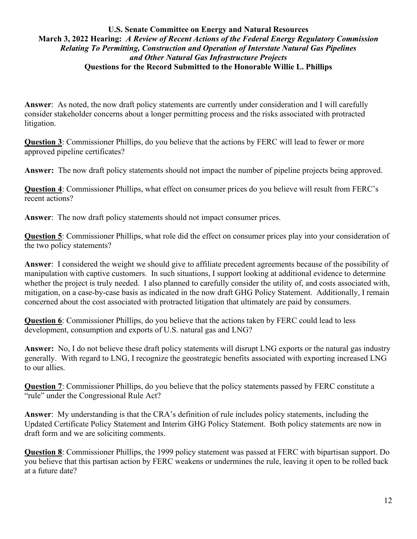**Answer**: As noted, the now draft policy statements are currently under consideration and I will carefully consider stakeholder concerns about a longer permitting process and the risks associated with protracted litigation.

**Question 3**: Commissioner Phillips, do you believe that the actions by FERC will lead to fewer or more approved pipeline certificates?

**Answer:** The now draft policy statements should not impact the number of pipeline projects being approved.

**Question 4**: Commissioner Phillips, what effect on consumer prices do you believe will result from FERC's recent actions?

**Answer**: The now draft policy statements should not impact consumer prices.

**Question 5**: Commissioner Phillips, what role did the effect on consumer prices play into your consideration of the two policy statements?

**Answer**: I considered the weight we should give to affiliate precedent agreements because of the possibility of manipulation with captive customers. In such situations, I support looking at additional evidence to determine whether the project is truly needed. I also planned to carefully consider the utility of, and costs associated with, mitigation, on a case-by-case basis as indicated in the now draft GHG Policy Statement. Additionally, I remain concerned about the cost associated with protracted litigation that ultimately are paid by consumers.

**Question 6**: Commissioner Phillips, do you believe that the actions taken by FERC could lead to less development, consumption and exports of U.S. natural gas and LNG?

**Answer:** No, I do not believe these draft policy statements will disrupt LNG exports or the natural gas industry generally. With regard to LNG, I recognize the geostrategic benefits associated with exporting increased LNG to our allies.

**Question 7**: Commissioner Phillips, do you believe that the policy statements passed by FERC constitute a "rule" under the Congressional Rule Act?

**Answer**: My understanding is that the CRA's definition of rule includes policy statements, including the Updated Certificate Policy Statement and Interim GHG Policy Statement. Both policy statements are now in draft form and we are soliciting comments.

**Question 8**: Commissioner Phillips, the 1999 policy statement was passed at FERC with bipartisan support. Do you believe that this partisan action by FERC weakens or undermines the rule, leaving it open to be rolled back at a future date?